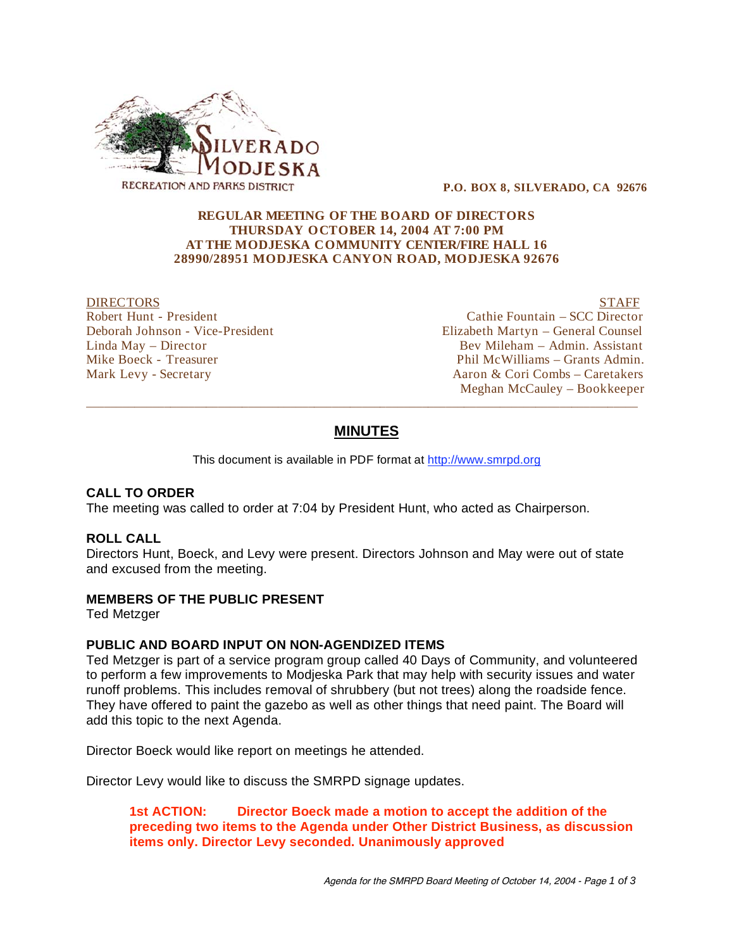

 **P.O. BOX 8, SILVERADO, CA 92676** 

#### **REGULAR MEETING OF THE BOARD OF DIRECTORS THURSDAY OCTOBER 14, 2004 AT 7:00 PM AT THE MODJESKA COMMUNITY CENTER/FIRE HALL 16 28990/28951 MODJESKA CANYON ROAD, MODJESKA 92676**

DIRECTORS STAFF<br>Robert Hunt - President Number of Cathie Fountain – SCC Director

Cathie Fountain – SCC Director Deborah Johnson - Vice-President Elizabeth Martyn – General Counsel Linda May – Director Bev Mileham – Admin. Assistant Mike Boeck - Treasurer Phil McWilliams – Grants Admin. Mark Levy - Secretary Aaron & Cori Combs – Caretakers Meghan McCauley – Bookkeeper

# **MINUTES**

\_\_\_\_\_\_\_\_\_\_\_\_\_\_\_\_\_\_\_\_\_\_\_\_\_\_\_\_\_\_\_\_\_\_\_\_\_\_\_\_\_\_\_\_\_\_\_\_\_\_\_\_\_\_\_\_\_\_\_\_\_\_\_\_\_\_\_\_\_\_\_\_\_\_\_\_\_\_\_\_\_\_\_\_\_\_\_\_\_\_\_\_

This document is available in PDF format at http://www.smrpd.org

#### **CALL TO ORDER**

The meeting was called to order at 7:04 by President Hunt, who acted as Chairperson.

#### **ROLL CALL**

Directors Hunt, Boeck, and Levy were present. Directors Johnson and May were out of state and excused from the meeting.

#### **MEMBERS OF THE PUBLIC PRESENT**

Ted Metzger

#### **PUBLIC AND BOARD INPUT ON NON-AGENDIZED ITEMS**

Ted Metzger is part of a service program group called 40 Days of Community, and volunteered to perform a few improvements to Modjeska Park that may help with security issues and water runoff problems. This includes removal of shrubbery (but not trees) along the roadside fence. They have offered to paint the gazebo as well as other things that need paint. The Board will add this topic to the next Agenda.

Director Boeck would like report on meetings he attended.

Director Levy would like to discuss the SMRPD signage updates.

**1st ACTION: Director Boeck made a motion to accept the addition of the preceding two items to the Agenda under Other District Business, as discussion items only. Director Levy seconded. Unanimously approved**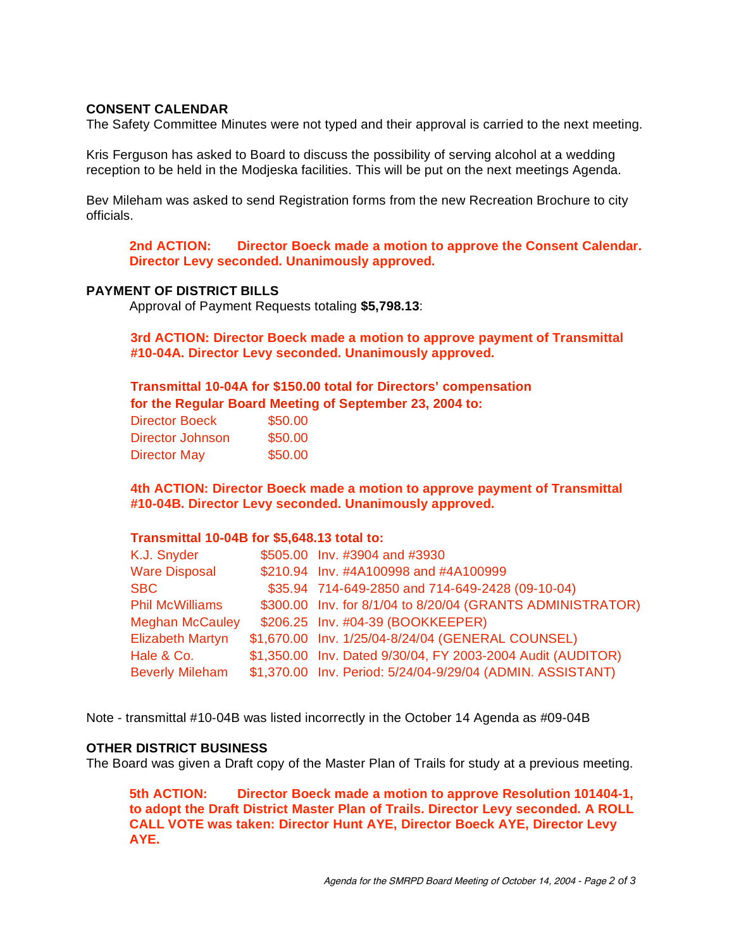#### **CONSENT CALENDAR**

The Safety Committee Minutes were not typed and their approval is carried to the next meeting.

Kris Ferguson has asked to Board to discuss the possibility of serving alcohol at a wedding reception to be held in the Modjeska facilities. This will be put on the next meetings Agenda.

Bev Mileham was asked to send Registration forms from the new Recreation Brochure to city officials.

**2nd ACTION: Director Boeck made a motion to approve the Consent Calendar. Director Levy seconded. Unanimously approved.** 

### **PAYMENT OF DISTRICT BILLS**

Approval of Payment Requests totaling **\$5,798.13**:

**3rd ACTION: Director Boeck made a motion to approve payment of Transmittal #10-04A. Director Levy seconded. Unanimously approved.**

**Transmittal 10-04A for \$150.00 total for Directors' compensation for the Regular Board Meeting of September 23, 2004 to:** 

| <b>Director Boeck</b> | \$50.00 |
|-----------------------|---------|
| Director Johnson      | \$50.00 |
| <b>Director May</b>   | \$50.00 |

**4th ACTION: Director Boeck made a motion to approve payment of Transmittal #10-04B. Director Levy seconded. Unanimously approved.**

#### **Transmittal 10-04B for \$5,648.13 total to:**

| K.J. Snyder             | \$505.00 Inv. #3904 and #3930                               |
|-------------------------|-------------------------------------------------------------|
| <b>Ware Disposal</b>    | \$210.94 Inv. #4A100998 and #4A100999                       |
| <b>SBC</b>              | \$35.94 714-649-2850 and 714-649-2428 (09-10-04)            |
| <b>Phil McWilliams</b>  | \$300.00 Inv. for 8/1/04 to 8/20/04 (GRANTS ADMINISTRATOR)  |
| <b>Meghan McCauley</b>  | \$206.25 Inv. #04-39 (BOOKKEEPER)                           |
| <b>Elizabeth Martyn</b> | \$1,670.00 Inv. 1/25/04-8/24/04 (GENERAL COUNSEL)           |
| Hale & Co.              | \$1,350.00 Inv. Dated 9/30/04, FY 2003-2004 Audit (AUDITOR) |
| <b>Beverly Mileham</b>  | \$1,370.00 Inv. Period: 5/24/04-9/29/04 (ADMIN. ASSISTANT)  |

Note - transmittal #10-04B was listed incorrectly in the October 14 Agenda as #09-04B

## **OTHER DISTRICT BUSINESS**

The Board was given a Draft copy of the Master Plan of Trails for study at a previous meeting.

**5th ACTION: Director Boeck made a motion to approve Resolution 101404-1, to adopt the Draft District Master Plan of Trails. Director Levy seconded. A ROLL CALL VOTE was taken: Director Hunt AYE, Director Boeck AYE, Director Levy AYE.**